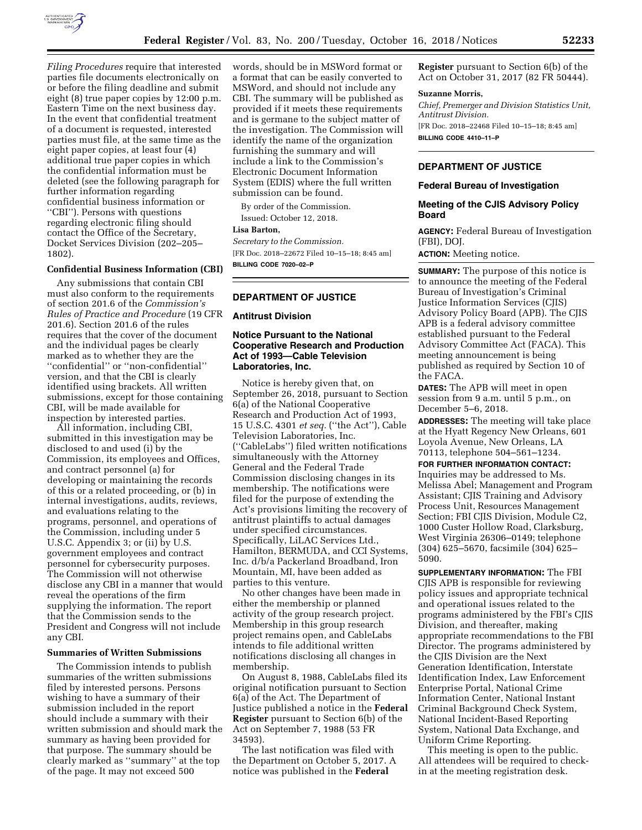

*Filing Procedures* require that interested parties file documents electronically on or before the filing deadline and submit eight (8) true paper copies by 12:00 p.m. Eastern Time on the next business day. In the event that confidential treatment of a document is requested, interested parties must file, at the same time as the eight paper copies, at least four (4) additional true paper copies in which the confidential information must be deleted (see the following paragraph for further information regarding confidential business information or ''CBI''). Persons with questions regarding electronic filing should contact the Office of the Secretary, Docket Services Division (202–205– 1802).

## **Confidential Business Information (CBI)**

Any submissions that contain CBI must also conform to the requirements of section 201.6 of the *Commission's Rules of Practice and Procedure* (19 CFR 201.6). Section 201.6 of the rules requires that the cover of the document and the individual pages be clearly marked as to whether they are the ''confidential'' or ''non-confidential'' version, and that the CBI is clearly identified using brackets. All written submissions, except for those containing CBI, will be made available for inspection by interested parties.

All information, including CBI, submitted in this investigation may be disclosed to and used (i) by the Commission, its employees and Offices, and contract personnel (a) for developing or maintaining the records of this or a related proceeding, or (b) in internal investigations, audits, reviews, and evaluations relating to the programs, personnel, and operations of the Commission, including under 5 U.S.C. Appendix 3; or (ii) by U.S. government employees and contract personnel for cybersecurity purposes. The Commission will not otherwise disclose any CBI in a manner that would reveal the operations of the firm supplying the information. The report that the Commission sends to the President and Congress will not include any CBI.

#### **Summaries of Written Submissions**

The Commission intends to publish summaries of the written submissions filed by interested persons. Persons wishing to have a summary of their submission included in the report should include a summary with their written submission and should mark the summary as having been provided for that purpose. The summary should be clearly marked as ''summary'' at the top of the page. It may not exceed 500

words, should be in MSWord format or a format that can be easily converted to MSWord, and should not include any CBI. The summary will be published as provided if it meets these requirements and is germane to the subject matter of the investigation. The Commission will identify the name of the organization furnishing the summary and will include a link to the Commission's Electronic Document Information System (EDIS) where the full written submission can be found.

By order of the Commission. Issued: October 12, 2018.

#### **Lisa Barton,**

*Secretary to the Commission.*  [FR Doc. 2018–22672 Filed 10–15–18; 8:45 am] **BILLING CODE 7020–02–P** 

### **DEPARTMENT OF JUSTICE**

### **Antitrust Division**

# **Notice Pursuant to the National Cooperative Research and Production Act of 1993—Cable Television Laboratories, Inc.**

Notice is hereby given that, on September 26, 2018, pursuant to Section 6(a) of the National Cooperative Research and Production Act of 1993, 15 U.S.C. 4301 *et seq.* (''the Act''), Cable Television Laboratories, Inc. (''CableLabs'') filed written notifications simultaneously with the Attorney General and the Federal Trade Commission disclosing changes in its membership. The notifications were filed for the purpose of extending the Act's provisions limiting the recovery of antitrust plaintiffs to actual damages under specified circumstances. Specifically, LiLAC Services Ltd., Hamilton, BERMUDA, and CCI Systems, Inc. d/b/a Packerland Broadband, Iron Mountain, MI, have been added as parties to this venture.

No other changes have been made in either the membership or planned activity of the group research project. Membership in this group research project remains open, and CableLabs intends to file additional written notifications disclosing all changes in membership.

On August 8, 1988, CableLabs filed its original notification pursuant to Section 6(a) of the Act. The Department of Justice published a notice in the **Federal Register** pursuant to Section 6(b) of the Act on September 7, 1988 (53 FR 34593).

The last notification was filed with the Department on October 5, 2017. A notice was published in the **Federal** 

**Register** pursuant to Section 6(b) of the Act on October 31, 2017 (82 FR 50444).

### **Suzanne Morris,**

*Chief, Premerger and Division Statistics Unit, Antitrust Division.*  [FR Doc. 2018–22468 Filed 10–15–18; 8:45 am]

**BILLING CODE 4410–11–P** 

# **DEPARTMENT OF JUSTICE**

## **Federal Bureau of Investigation**

## **Meeting of the CJIS Advisory Policy Board**

**AGENCY:** Federal Bureau of Investigation (FBI), DOJ.

**ACTION:** Meeting notice.

**SUMMARY:** The purpose of this notice is to announce the meeting of the Federal Bureau of Investigation's Criminal Justice Information Services (CJIS) Advisory Policy Board (APB). The CJIS APB is a federal advisory committee established pursuant to the Federal Advisory Committee Act (FACA). This meeting announcement is being published as required by Section 10 of the FACA.

**DATES:** The APB will meet in open session from 9 a.m. until 5 p.m., on December 5–6, 2018.

**ADDRESSES:** The meeting will take place at the Hyatt Regency New Orleans, 601 Loyola Avenue, New Orleans, LA 70113, telephone 504–561–1234.

**FOR FURTHER INFORMATION CONTACT:**  Inquiries may be addressed to Ms. Melissa Abel; Management and Program Assistant; CJIS Training and Advisory Process Unit, Resources Management Section; FBI CJIS Division, Module C2, 1000 Custer Hollow Road, Clarksburg, West Virginia 26306–0149; telephone (304) 625–5670, facsimile (304) 625– 5090.

**SUPPLEMENTARY INFORMATION:** The FBI CJIS APB is responsible for reviewing policy issues and appropriate technical and operational issues related to the programs administered by the FBI's CJIS Division, and thereafter, making appropriate recommendations to the FBI Director. The programs administered by the CJIS Division are the Next Generation Identification, Interstate Identification Index, Law Enforcement Enterprise Portal, National Crime Information Center, National Instant Criminal Background Check System, National Incident-Based Reporting System, National Data Exchange, and Uniform Crime Reporting.

This meeting is open to the public. All attendees will be required to checkin at the meeting registration desk.